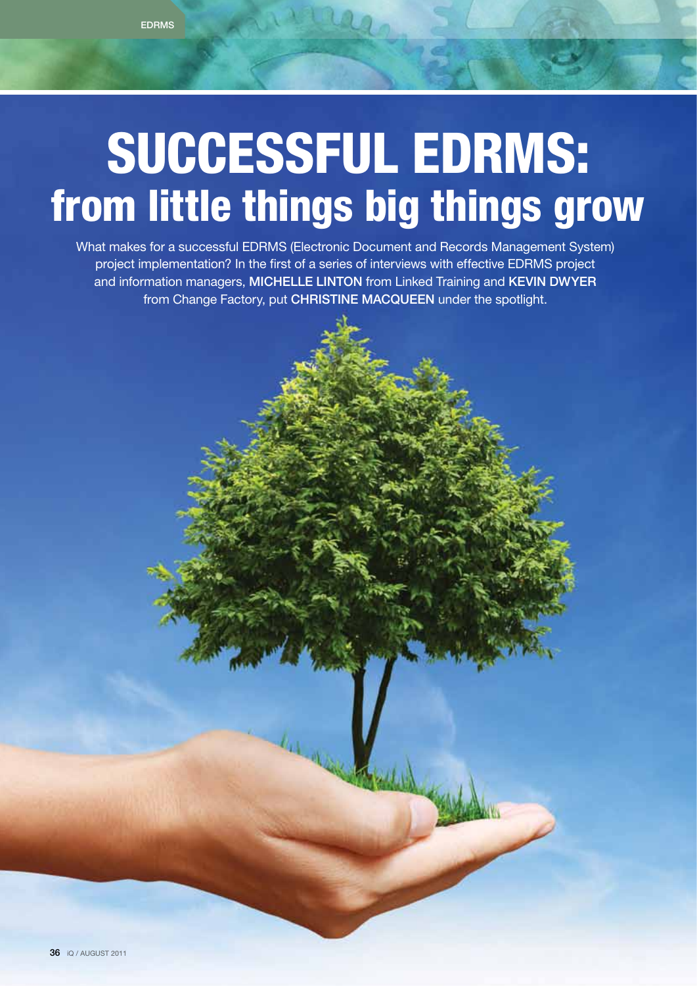# SUCCESSFUL EDRMS: from little things big things grow

What makes for a successful EDRMS (Electronic Document and Records Management System) project implementation? In the first of a series of interviews with effective EDRMS project and information managers, MICHELLE LINTON from Linked Training and KEVIN DWYER from Change Factory, put CHRISTINE MACQUEEN under the spotlight.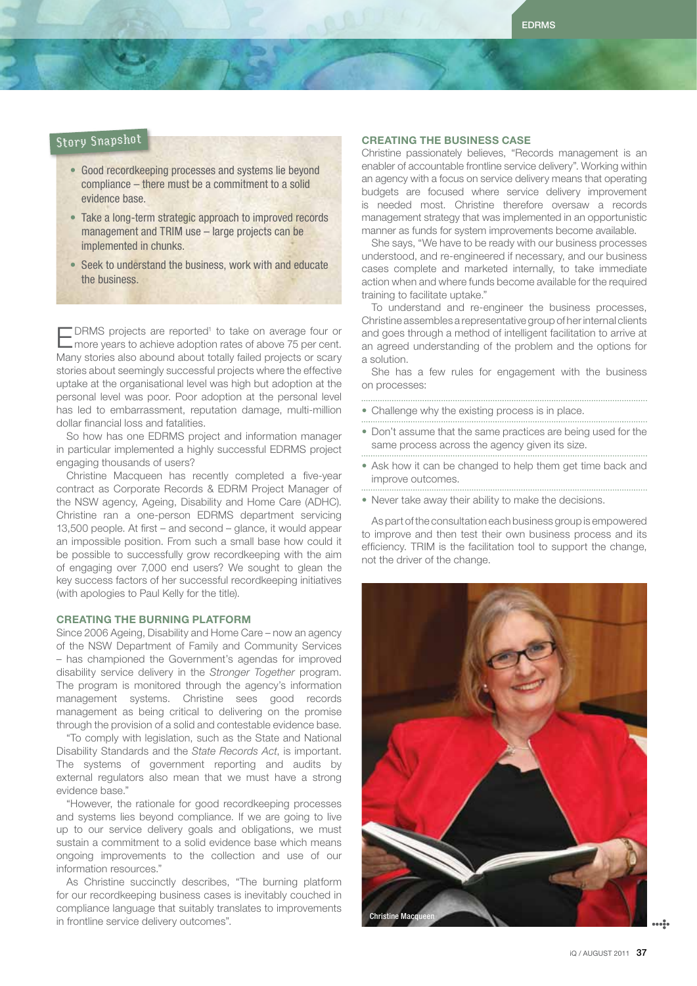### Story Snapshot

- Good recordkeeping processes and systems lie beyond compliance – there must be a commitment to a solid evidence base.
- Take a long-term strategic approach to improved records management and TRIM use – large projects can be implemented in chunks.
- Seek to understand the business, work with and educate the business.

EDRMS projects are reported<sup>1</sup> to take on average four or<br>
Emore years to achieve adoption rates of above 75 per cent. "DRMS projects are reported<sup>1</sup> to take on average four or Many stories also abound about totally failed projects or scary stories about seemingly successful projects where the effective uptake at the organisational level was high but adoption at the personal level was poor. Poor adoption at the personal level has led to embarrassment, reputation damage, multi-million dollar financial loss and fatalities.

So how has one EDRMS project and information manager in particular implemented a highly successful EDRMS project engaging thousands of users?

Christine Macqueen has recently completed a five-year contract as Corporate Records & EDRM Project Manager of the NSW agency, Ageing, Disability and Home Care (ADHC). Christine ran a one-person EDRMS department servicing 13,500 people. At first – and second – glance, it would appear an impossible position. From such a small base how could it be possible to successfully grow recordkeeping with the aim of engaging over 7,000 end users? We sought to glean the key success factors of her successful recordkeeping initiatives (with apologies to Paul Kelly for the title).

### Creating the burning platform

Since 2006 Ageing, Disability and Home Care – now an agency of the NSW Department of Family and Community Services – has championed the Government's agendas for improved disability service delivery in the *Stronger Together* program. The program is monitored through the agency's information management systems. Christine sees good records management as being critical to delivering on the promise through the provision of a solid and contestable evidence base.

"To comply with legislation, such as the State and National Disability Standards and the *State Records Act*, is important. The systems of government reporting and audits by external regulators also mean that we must have a strong evidence base."

"However, the rationale for good recordkeeping processes and systems lies beyond compliance. If we are going to live up to our service delivery goals and obligations, we must sustain a commitment to a solid evidence base which means ongoing improvements to the collection and use of our information resources."

As Christine succinctly describes, "The burning platform for our recordkeeping business cases is inevitably couched in compliance language that suitably translates to improvements in frontline service delivery outcomes".

### Creating the business case

Christine passionately believes, "Records management is an enabler of accountable frontline service delivery". Working within an agency with a focus on service delivery means that operating budgets are focused where service delivery improvement is needed most. Christine therefore oversaw a records management strategy that was implemented in an opportunistic manner as funds for system improvements become available.

She says, "We have to be ready with our business processes understood, and re-engineered if necessary, and our business cases complete and marketed internally, to take immediate action when and where funds become available for the required training to facilitate uptake."

To understand and re-engineer the business processes, Christine assembles a representative group of her internal clients and goes through a method of intelligent facilitation to arrive at an agreed understanding of the problem and the options for a solution.

She has a few rules for engagement with the business on processes:

• Challenge why the existing process is in place.

- Don't assume that the same practices are being used for the same process across the agency given its size.
- Ask how it can be changed to help them get time back and improve outcomes.

• Never take away their ability to make the decisions.

As part of the consultation each business group is empowered to improve and then test their own business process and its efficiency. TRIM is the facilitation tool to support the change, not the driver of the change.

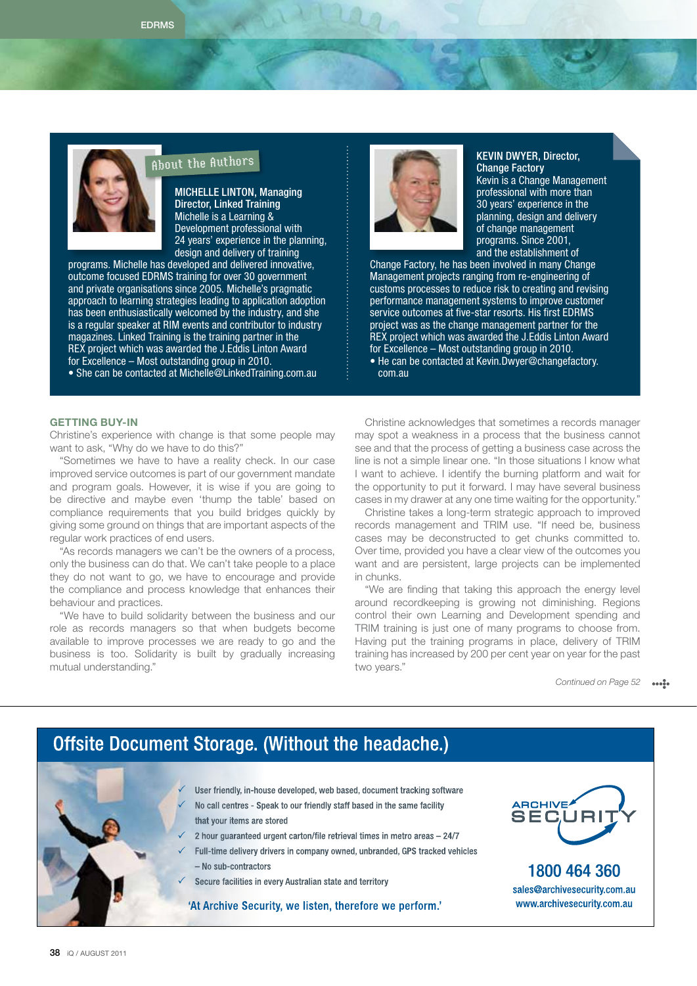

### About the Authors

Michelle Linton, Managing Director, Linked Training Michelle is a Learning & Development professional with 24 years' experience in the planning, design and delivery of training

programs. Michelle has developed and delivered innovative, outcome focused EDRMS training for over 30 government and private organisations since 2005. Michelle's pragmatic approach to learning strategies leading to application adoption has been enthusiastically welcomed by the industry, and she is a regular speaker at RIM events and contributor to industry magazines. Linked Training is the training partner in the REX project which was awarded the J.Eddis Linton Award for Excellence – Most outstanding group in 2010.

• She can be contacted at Michelle@LinkedTraining.com.au



### Kevin Dwyer, Director, Change Factory Kevin is a Change Management

professional with more than 30 years' experience in the planning, design and delivery of change management programs. Since 2001, and the establishment of

Change Factory, he has been involved in many Change Management projects ranging from re-engineering of customs processes to reduce risk to creating and revising performance management systems to improve customer service outcomes at five-star resorts. His first EDRMS project was as the change management partner for the REX project which was awarded the J.Eddis Linton Award for Excellence – Most outstanding group in 2010.

• He can be contacted at Kevin.Dwyer@changefactory. com.au

### Getting buy-in

Christine's experience with change is that some people may want to ask, "Why do we have to do this?"

"Sometimes we have to have a reality check. In our case improved service outcomes is part of our government mandate and program goals. However, it is wise if you are going to be directive and maybe even 'thump the table' based on compliance requirements that you build bridges quickly by giving some ground on things that are important aspects of the regular work practices of end users.

"As records managers we can't be the owners of a process, only the business can do that. We can't take people to a place they do not want to go, we have to encourage and provide the compliance and process knowledge that enhances their behaviour and practices.

"We have to build solidarity between the business and our role as records managers so that when budgets become available to improve processes we are ready to go and the business is too. Solidarity is built by gradually increasing mutual understanding."

Christine acknowledges that sometimes a records manager may spot a weakness in a process that the business cannot see and that the process of getting a business case across the line is not a simple linear one. "In those situations I know what I want to achieve. I identify the burning platform and wait for the opportunity to put it forward. I may have several business cases in my drawer at any one time waiting for the opportunity."

Christine takes a long-term strategic approach to improved records management and TRIM use. "If need be, business cases may be deconstructed to get chunks committed to. Over time, provided you have a clear view of the outcomes you want and are persistent, large projects can be implemented in chunks.

"We are finding that taking this approach the energy level around recordkeeping is growing not diminishing. Regions control their own Learning and Development spending and TRIM training is just one of many programs to choose from. Having put the training programs in place, delivery of TRIM training has increased by 200 per cent year on year for the past two years."

> *Continued on Page 52*  $\cdots$

## **Offsite Document Storage. (Without the headache.)**

- User friendly, in-house developed, web based, document tracking software
- No call centres Speak to our friendly staff based in the same facility that your items are stored
- 2 hour guaranteed urgent carton/file retrieval times in metro areas 24/7
- Full-time delivery drivers in company owned, unbranded, GPS tracked vehicles - No sub-contractors
- Secure facilities in every Australian state and territory

'At Archive Security, we listen, therefore we perform.'



1800 464 360 sales@archivesecurity.com.au www.archivesecurity.com.au